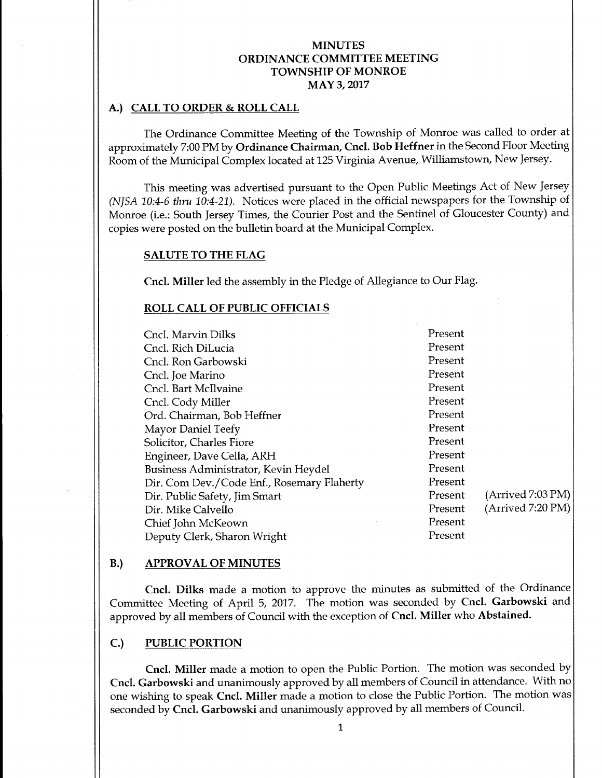#### A.) CALL TO ORDER & ROLL CALL

The Ordinance Committee Meeting of the Township of Monroe was called to order at approximately 7:00 PM by Ordinance Chairman, Cncl. Bob Heffner in the Second Floor Meeting Room of the Municipal Complex located at 125 Virginia Avenue, Williamstown, New Jersey.

This meeting was advertised pursuant to the Open Public Meetings Act of New Jersey NJSA 10:4-6 thru 10:4-21). Notices were placed in the official newspapers for the Township of Monroe (i.e.: South Jersey Times, the Courier Post and the Sentinel of Gloucester County) and copies were posted on the bulletin board at the Municipal Complex.

#### SALUTE TO THE FLAG

Cncl. Miller led the assembly in the Pledge of Allegiance to Our Flag.

#### ROLL CALL OF PUBLIC OFFICIALS

| Cncl. Marvin Dilks                         | Present |                   |
|--------------------------------------------|---------|-------------------|
| Cncl. Rich DiLucia                         | Present |                   |
| Cncl. Ron Garbowski                        | Present |                   |
| Cncl. Joe Marino                           | Present |                   |
| Cncl. Bart McIlvaine                       | Present |                   |
| Cncl. Cody Miller                          | Present |                   |
| Ord. Chairman, Bob Heffner                 | Present |                   |
| Mayor Daniel Teefy                         | Present |                   |
| Solicitor, Charles Fiore                   | Present |                   |
| Engineer, Dave Cella, ARH                  | Present |                   |
| Business Administrator, Kevin Heydel       | Present |                   |
| Dir. Com Dev./Code Enf., Rosemary Flaherty | Present |                   |
| Dir. Public Safety, Jim Smart              | Present | (Arrived 7:03 PM) |
| Dir. Mike Calvello                         | Present | (Arrived 7:20 PM) |
| Chief John McKeown                         | Present |                   |
| Deputy Clerk, Sharon Wright                | Present |                   |
|                                            |         |                   |

#### B.) APPROVAL OF MINUTES

Cncl. Dilks made a motion to approve the minutes as submitted of the Ordinance Committee Meeting of April 5, 2017. The motion was seconded by Cncl. Garbowski and approved by all members of Council with the exception of Cncl. Miller who Abstained.

## C.) PUBLIC PORTION

Cncl. Miller made <sup>a</sup> motion to open the Public Portion. The motion was seconded by Cncl. Garbowski and unanimously approved by all members of Council in attendance. With no one wishing to speak Cncl. Miller made <sup>a</sup> motion to close the Public Portion. The motion was seconded by Cncl. Garbowski and unanimously approved by all members of Council.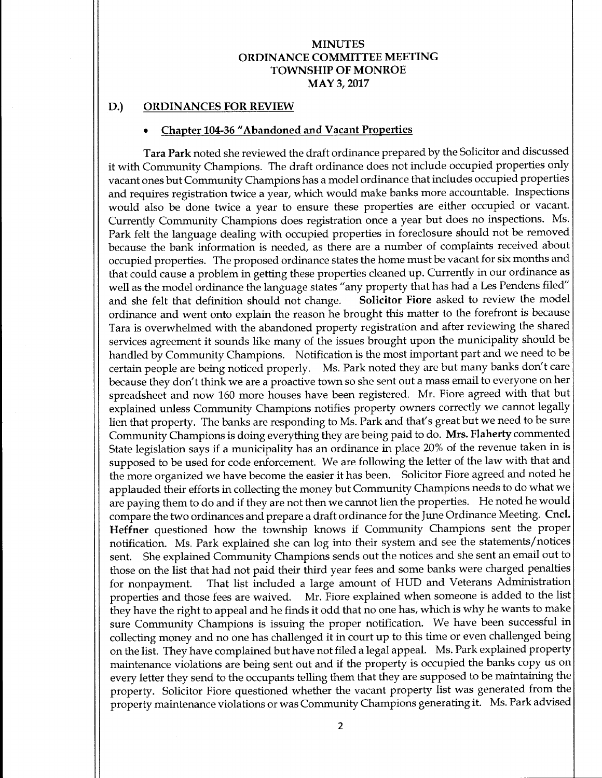## D.) ORDINANCES FOR REVIEW

#### Chapter 104-36 " Abandoned and Vacant Properties

Tara Park noted she reviewed the draft ordinance prepared by the Solicitor and discussed it with Community Champions. The draft ordinance does not include occupied properties only vacant ones but Community Champions has a model ordinance that includes occupied properties and requires registration twice a year, which would make banks more accountable. Inspections would also be done twice <sup>a</sup> year to ensure these properties are either occupied or vacant. Currently Community Champions does registration once <sup>a</sup> year but does no inspections. Ms. Park felt the language dealing with occupied properties in foreclosure should not be removed because the bank information is needed, as there are a number of complaints received about occupied properties. The proposed ordinance states the home must be vacant for six months and that could cause a problem in getting these properties cleaned up. Currently in our ordinance as well as the model ordinance the language states "any property that has had a Les Pendens filed" and she felt that definition should not change. Solicitor Fiore asked to review the model ordinance and went onto explain the reason he brought this matter to the forefront is because Tara is overwhelmed with the abandoned property registration and after reviewing the shared services agreement it sounds like many of the issues brought upon the municipality should be handled by Community Champions. Notification is the most important part and we need to be certain people are being noticed properly. Ms. Park noted they are but many banks don't care because they don't think we are <sup>a</sup> proactive town so she sent out a mass email to everyone on her spreadsheet and now <sup>160</sup> more houses have been registered. Mr. Fiore agreed with that but explained unless Community Champions notifies property owners correctly we cannot legally lien that property. The banks are responding to Ms. Park and that's great but we need to be sure Community Champions is doing everything they are being paid to do. Mrs. Flaherty commented State legislation says if <sup>a</sup> municipality has an ordinance in place 20% of the revenue taken in is supposed to be used for code enforcement. We are following the letter of the law with that and the more organized we have become the easier it has been. Solicitor Fiore agreed and noted he applauded their efforts in collecting the money but Community Champions needs to do what we are paying them to do and if they are not then we cannot lien the properties. He noted he would compare the two ordinances and prepare a draft ordinance for the June Ordinance Meeting. Cncl. Heffner questioned how the township knows if Community Champions sent the proper notification. Ms. Park explained she can log into their system and see the statements/ notices sent. She explained Community Champions sends out the notices and she sent an email out to those on the list that had not paid their third year fees and some banks were charged penalties for nonpayment. That list included <sup>a</sup> large amount of HUD and Veterans Administration properties and those fees are waived. Mr. Fiore explained when someone is added to the list they have the right to appeal and he finds it odd that no one has, which is why he wants to make sure Community Champions is issuing the proper notification. We have been successful in collecting money and no one has challenged it in court up to this time or even challenged being on the list. They have complained but have not filed <sup>a</sup> legal appeal. Ms. Park explained property maintenance violations are being sent out and if the property is occupied the banks copy us on every letter they send to the occupants telling them that they are supposed to be maintaining the property. Solicitor Fiore questioned whether the vacant property list was generated from the property maintenance violations or was Community Champions generating it. Ms. Park advised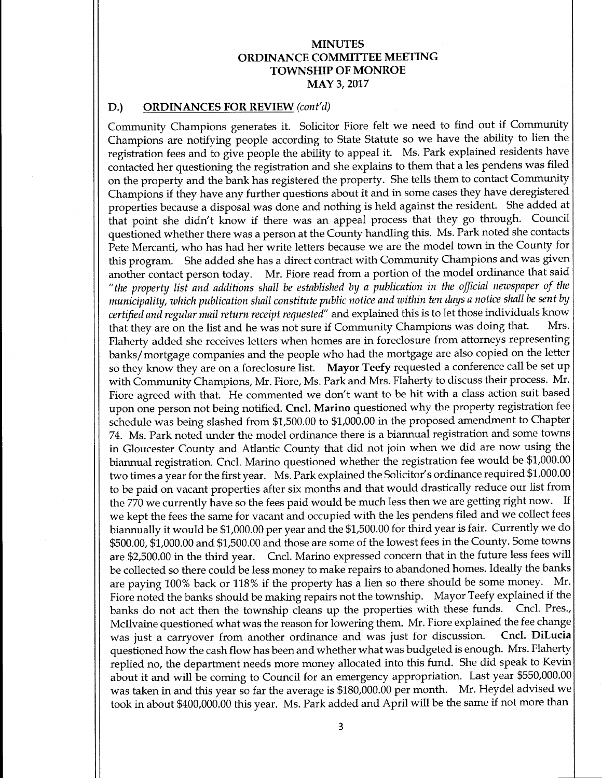# D.) ORDINANCES FOR REVIEW (cont'd)

Community Champions generates it. Solicitor Fiore felt we need to find out if Community Champions are notifying people according to State Statute so we have the ability to lien the registration fees and to give people the ability to appeal it. Ms. Park explained residents have contacted her questioning the registration and she explains to them that a les pendens was filed on the property and the bank has registered the property. She tells them to contact Community Champions if they have any further questions about it and in some cases they have deregistered properties because <sup>a</sup> disposal was done and nothing is held against the resident. She added at that point she didn't know if there was an appeal process that they go through. Council questioned whether there was a person at the County handling this. Ms. Park noted she contacts Pete Mercanti, who has had her write letters because we are the model town in the County for this program. She added she has <sup>a</sup> direct contract with Community Champions and was given another contact person today. Mr. Fiore read from <sup>a</sup> portion of the model ordinance that said the property list and additions shall be established by <sup>a</sup> publication in the official newspaper of the municipality, which publication shall constitute public notice and within ten days a notice shall be sent by certified and regular mail return receipt requested" and explained this is to let those individuals know that they are on the list and he was not sure if Community Champions was doing that. Mrs. Flaherty added she receives letters when homes are in foreclosure from attorneys representing banks/ mortgage companies and the people who had the mortgage are also copied on the letter so they know they are on a foreclosure list. Mayor Teefy requested a conference call be set up with Community Champions, Mr. Fiore, Ms. Park and Mrs. Flaherty to discuss their process. Mr. Fiore agreed with that. He commented we don't want to be hit with <sup>a</sup> class action suit based upon one person not being notified. Cncl. Marino questioned why the property registration fee schedule was being slashed from \$1,500.00 to \$1,000.00 in the proposed amendment to Chapter 74. Ms. Park noted under the model ordinance there is a biannual registration and some towns in Gloucester County and Atlantic County that did not join when we did are now using the biannual registration. Cncl. Marino questioned whether the registration fee would be \$1,000.00 two times a year for the first year. Ms. Park explained the Solicitor's ordinance required \$1,000.00 to be paid on vacant properties after six months and that would drastically reduce our list from the <sup>770</sup> we currently have so the fees paid would be much less then we are getting right now. If we kept the fees the same for vacant and occupied with the les pendens filed and we collect fees biannually it would be \$1,000.00 per year and the \$1,500.00 for third year is fair. Currently we do \$500.00, \$1,000.00 and \$1,500.00 and those are some of the lowest fees in the County. Some towns are \$2,500.<sup>00</sup> in the third year. Cncl. Marino expressed concern that in the future less fees will be collected so there could be less money to make repairs to abandoned homes. Ideally the banks are paying 100% back or 118% if the property has <sup>a</sup> lien so there should be some money. Mr. Fiore noted the banks should be making repairs not the township. Mayor Teefy explained if the banks do not act then the township cleans up the properties with these funds. Cncl. Pres. banks do not act then the township cleans up the properties with these funds. McIlvaine questioned what was the reason for lowering them. Mr. Fiore explained the fee change<br>was just a carryover from another ordinance and was just for discussion. Cncl. DiLucia was just a carryover from another ordinance and was just for discussion. questioned how the cash flow has been and whether what was budgeted is enough. Mrs. Flaherty replied no, the department needs more money allocated into this fund. She did speak to Kevin about it and will be coming to Council for an emergency appropriation. Last year \$550,000.00 was taken in and this year so far the average is \$180,000.00 per month. Mr. Heydel advised we took in about \$400,000.00 this year. Ms. Park added and April will be the same if not more than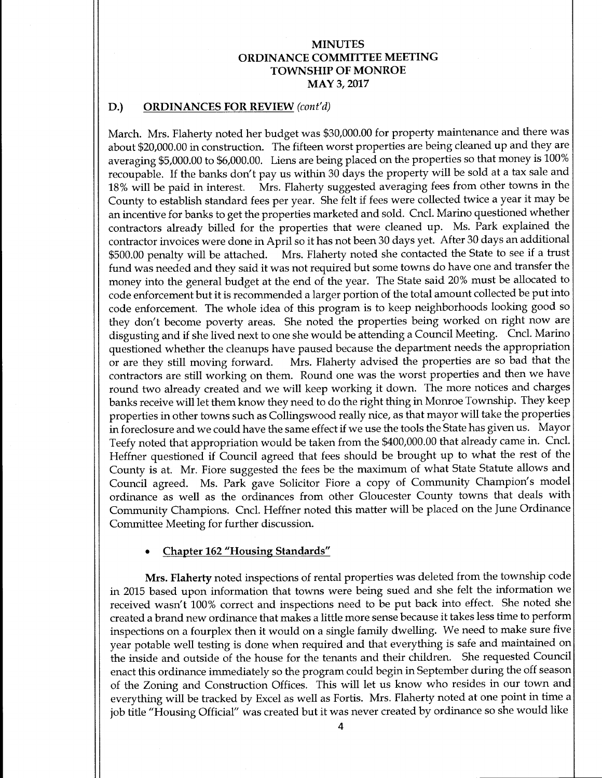### D.) ORDINANCES FOR REVIEW (cont'd)

March. Mrs. Flaherty noted her budget was \$30,000.00 for property maintenance and there was about \$20,000.00 in construction. The fifteen worst properties are being cleaned up and they are averaging \$5,000.00 to \$6,000.00. Liens are being placed on the properties so that money is 100% recoupable. If the banks don't pay us within 30 days the property will be sold at a tax sale and<br>18% will be paid in interest. Mrs. Flaherty suggested averaging fees from other towns in the Mrs. Flaherty suggested averaging fees from other towns in the County to establish standard fees per year. She felt if fees were collected twice <sup>a</sup> year it may be an incentive for banks to get the properties marketed and sold. Cncl. Marino questioned whether contractors already billed for the properties that were cleaned up. Ms. Park explained the contractor invoices were done in April so it has not been 30 days yet. After 30 days an additional 500.00 penalty will be attached. Mrs. Flaherty noted she contacted the State to see if <sup>a</sup> trust fund was needed and they said it was not required but some towns do have one and transfer the money into the general budget at the end of the year. The State said 20% must be allocated to code enforcement but it is recommended <sup>a</sup> larger portion of the total amount collected be put into code enforcement. The whole idea of this program is to keep neighborhoods looking good so they don't become poverty areas. She noted the properties being worked on right now are disgusting and if she lived next to one she would be attending <sup>a</sup> Council Meeting. Cncl. Marino questioned whether the cleanups have paused because the department needs the appropriation or are they still moving forward. Mrs. Flaherty advised the properties are so bad that the contractors are still working on them. Round one was the worst properties and then we have round two already created and we will keep working it down. The more notices and charges banks receive will let them know they need to do the right thing in Monroe Township. They keep properties in other towns such as Collingswood really nice, as that mayor will take the properties in foreclosure and we could have the same effect if we use the tools the State has given us. Mayor Teefy noted that appropriation would be taken from the \$400,000.00 that already came in. Cncl. Heffner questioned if Council agreed that fees should be brought up to what the rest of the County is at. Mr. Fiore suggested the fees be the maximum of what State Statute allows and Council agreed. Ms. Park gave Solicitor Fiore a copy of Community Champion's model ordinance as well as the ordinances from other Gloucester County towns that deals with Community Champions. Cncl. Heffner noted this matter will be placed on the June Ordinance Committee Meeting for further discussion.

### Chapter 162" Housing Standards"

Mrs. Flaherty noted inspections of rental properties was deleted from the township code in 2015 based upon information that towns were being sued and she felt the information we received wasn't 100% correct and inspections need to be put back into effect. She noted she created <sup>a</sup> brand new ordinance that makes <sup>a</sup> little more sense because it takes less time to perform inspections on <sup>a</sup> fourplex then it would on <sup>a</sup> single family dwelling. We need to make sure five year potable well testing is done when required and that everything is safe and maintained on the inside and outside of the house for the tenants and their children. She requested Council enact this ordinance immediately so the program could begin in September during the off season of the Zoning and Construction Offices. This will let us know who resides in our town and everything will be tracked by Excel as well as Fortis. Mrs. Flaherty noted at one point in time <sup>a</sup> job title "Housing Official" was created but it was never created by ordinance so she would like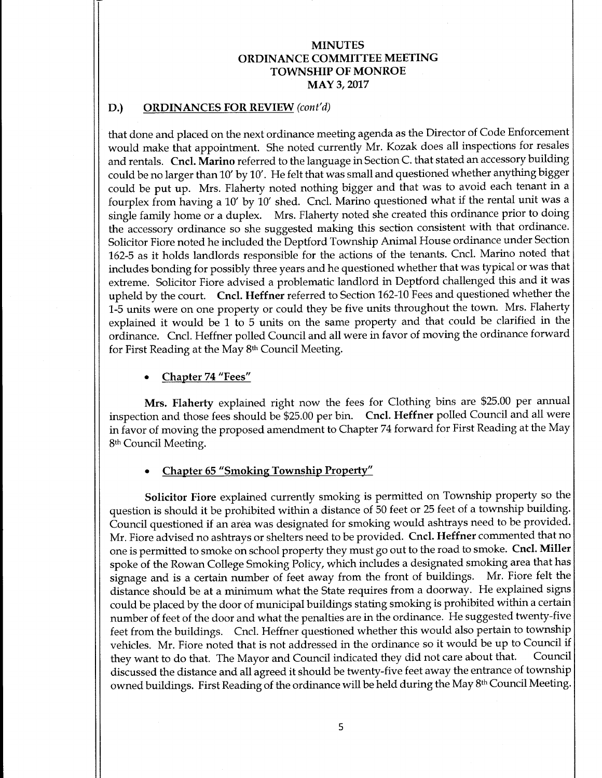## D.) ORDINANCES FOR REVIEW (cont'd)

that done and placed on the next ordinance meeting agenda as the Director of Code Enforcement would make that appointment. She noted currently Mr. Kozak does all inspections for resales and rentals. Cncl. Marino referred to the language in Section C. that stated an accessory building could be no larger than 10' by 10'. He felt that was small and questioned whether anything bigger could be put up. Mrs. Flaherty noted nothing bigger and that was to avoid each tenant in <sup>a</sup> fourplex from having <sup>a</sup> 10' by 10' shed. Cncl. Marino questioned what if the rental unit was <sup>a</sup> single family home or <sup>a</sup> duplex. Mrs. Flaherty noted she created this ordinance prior to doing the accessory ordinance so she suggested making this section consistent with that ordinance. Solicitor Fiore noted he included the Deptford Township Animal House ordinance under Section 162-5 as it holds landlords responsible for the actions of the tenants. Cncl. Marino noted that includes bonding for possibly three years and he questioned whether that was typical or was that extreme. Solicitor Fiore advised <sup>a</sup> problematic landlord in Deptford challenged this and it was upheld by the court. Cncl. Heffner referred to Section 162-10 Fees and questioned whether the 1-5 units were on one property or could they be five units throughout the town. Mrs. Flaherty explained it would be <sup>1</sup> to 5 units on the same property and that could be clarified in the ordinance. Cncl. Heffner polled Council and all were in favor of moving the ordinance forward for First Reading at the May 8th Council Meeting.

Chapter 74 "Fees"

Mrs. Flaherty explained right now the fees for Clothing bins are \$25.00 per annual inspection and those fees should be \$25. <sup>00</sup> per bin. Cncl. Heffner polled Council and all were in favor of moving the proposed amendment to Chapter 74 forward for First Reading at the May 8th Council Meeting.

#### Chapter 65 "Smoking Township Property"

Solicitor Fiore explained currently smoking is permitted on Township property so the question is should it be prohibited within <sup>a</sup> distance of 50 feet or <sup>25</sup> feet of <sup>a</sup> township building. Council questioned if an area was designated for smoking would ashtrays need to be provided. Mr. Fiore advised no ashtrays or shelters need to be provided. Cncl. Heffner commented that no one is permitted to smoke on school property they must go out to the road to smoke. Cncl. Miller spoke of the Rowan College Smoking Policy, which includes a designated smoking area that has signage and is <sup>a</sup> certain number of feet away from the front of buildings. Mr. Fiore felt the distance should be at a minimum what the State requires from a doorway. He explained signs could be placed by the door of municipal buildings stating smoking is prohibited within <sup>a</sup> certain number of feet of the door and what the penalties are in the ordinance. He suggested twenty-five feet from the buildings. Cncl. Heffner questioned whether this would also pertain to township vehicles. Mr. Fiore noted that is not addressed in the ordinance so it would be up to Council if<br>they want to do that. The Mayor and Council indicated they did not care about that. Council they want to do that. The Mayor and Council indicated they did not care about that. discussed the distance and all agreed it should be twenty-five feet away the entrance of township owned buildings. First Reading of the ordinance will be held during the May 8<sup>th</sup> Council Meeting.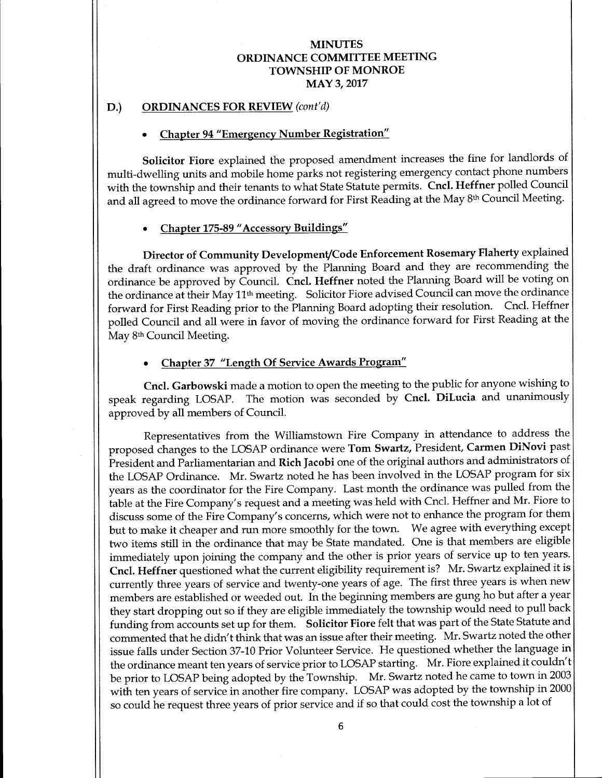# D.) ORDINANCES FOR REVIEW (cont'd)

### Chapter 94" Emergency Number Registration"

Solicitor Fiore explained the proposed amendment increases the fine for landlords of multi-dwelling units and mobile home parks not registering emergency contact phone numbers with the township and their tenants to what State Statute permits. Cncl. Heffner polled Council and all agreed to move the ordinance forward for First Reading at the May 8<sup>th</sup> Council Meeting.

## Chapter 175-89 " Accessory Buildings"

Director of Community Development/Code Enforcement Rosemary Flaherty explained the draft ordinance was approved by the Planning Board and they are recommending the ordinance be approved by Council. Cncl. Heffner noted the Planning Board will be voting on the ordinance at their May 11th meeting. Solicitor Fiore advised Council can move the ordinance forward for First Reading prior to the Planning Board adopting their resolution. Cncl. Heffner polled Council and all were in favor of moving the ordinance forward for First Reading at the May 8th Council Meeting.

## Chapter 37 "Length Of Service Awards Program"

Cncl. Garbowski made a motion to open the meeting to the public for anyone wishing to speak regarding LOSAP. The motion was seconded by Cncl. DiLucia and unanimously approved by all members of Council.

Representatives from the Williamstown Fire Company in attendance to address the proposed changes to the LOSAP ordinance were Tom Swartz, President, Carmen DiNovi past President and Parliamentarian and Rich Jacobi one of the original authors and administrators of the LOSAP Ordinance. Mr. Swartz noted he has been involved in the LOSAP program for six years as the coordinator for the Fire Company. Last month the ordinance was pulled from the table at the Fire Company's request and a meeting was held with Cncl. Heffner and Mr. Fiore to discuss some of the Fire Company's concerns, which were not to enhance the program for them but to make it cheaper and run more smoothly for the town. We agree with everything except two items still in the ordinance that may be State mandated. One is that members are eligible immediately upon joining the company and the other is prior years of service up to ten years. Cncl. Heffner questioned what the current eligibility requirement is? Mr. Swartz explained it is currently three years of service and twenty-one years of age. The first three years is when new members are established or weeded out. In the beginning members are gung ho but after a year they start dropping out so if they are eligible immediately the township would need to pull back funding from accounts set up for them. Solicitor Fiore felt that was part of the State Statute and commented that he didn't think that was an issue after their meeting. Mr. Swartz noted the other issue falls under Section 37-10 Prior Volunteer Service. He questioned whether the language in the ordinance meant ten years of service prior to LOSAP starting. Mr. Fiore explained it couldn't be prior to LOSAP being adopted by the Township. Mr. Swartz noted he came to town in <sup>2003</sup> with ten years of service in another fire company. LOSAP was adopted by the township in 2000 so could he request three years of prior service and if so that could cost the township <sup>a</sup> lot of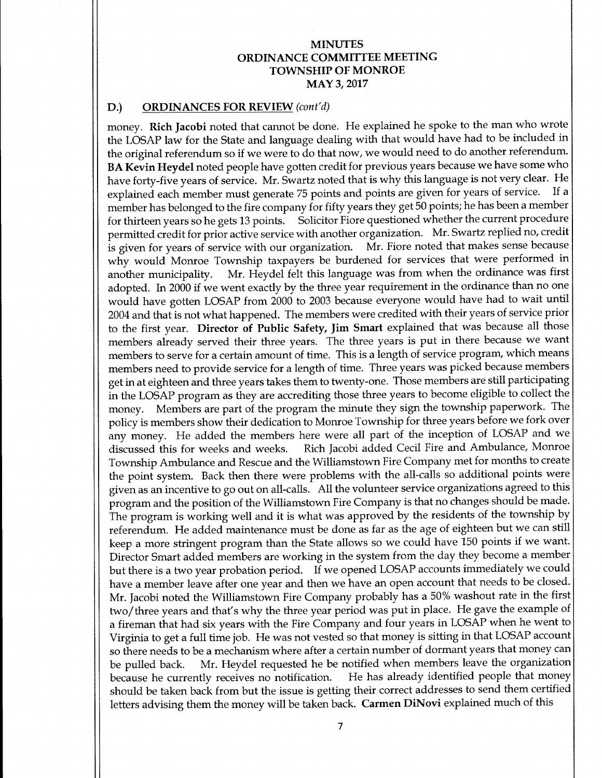### D.) ORDINANCES FOR REVIEW (cont'd)

money. Rich Jacobi noted that cannot be done. He explained he spoke to the man who wrote the LOSAP law for the State and language dealing with that would have had to be included in the original referendum so if we were to do that now, we would need to do another referendum. BA Kevin Heydel noted people have gotten credit for previous years because we have some who have forty-five years of service. Mr. Swartz noted that is why this language is not very clear. He<br>explained each member must generate 75 points and points are given for years of service. If a explained each member must generate 75 points and points are given for years of service. member has belonged to the fire company for fifty years they get 50 points; he has been a member for thirteen years so he gets 13 points. Solicitor Fiore questioned whether the current procedure permitted credit for prior active service with another organization. Mr.Swartz replied no, credit is given for years of service with our organization. why would Monroe Township taxpayers be burdened for services that were performed in another municipality. Mr. Heydel felt this language was from when the ordinance was first adopted. In 2000 if we went exactly by the three year requirement in the ordinance than no one would have gotten LOSAP from 2000 to 2003 because everyone would have had to wait until 2004 and that is not what happened. The members were credited with their years of service prior to the first year. Director of Public Safety, Jim Smart explained that was because all those members already served their three years. The three years is put in there because we want members to serve for a certain amount of time. This is a length of service program, which means members need to provide service for a length of time. Three years was picked because members get in at eighteen and three years takes them to twenty-one. Those members are still participating in the LOSAP program as they are accrediting those three years to become eligible to collect the money. Members are part of the program the minute they sign the township paperwork. The policy is members show their dedication to Monroe Township for three years before we fork over any money. He added the members here were all part of the inception of LOSAP and we discussed this for weeks and weeks. Rich Jacobi added Cecil Fire and Ambulance, Monroe Rich Jacobi added Cecil Fire and Ambulance, Monroe Township Ambulance and Rescue and the Williamstown Fire Company met for months to create the point system. Back then there were problems with the all-calls so additional points were given as an incentive to go out on all-calls. All the volunteer service organizations agreed to this program and the position of the Williamstown Fire Company is that no changes should be made. The program is working well and it is what was approved by the residents of the township by referendum. He added maintenance must be done as far as the age of eighteen but we can still keep a more stringent program than the State allows so we could have 150 points if we want. Director Smart added members are working in the system from the day they become a member but there is a two year probation period. If we opened LOSAP accounts immediately we could have a member leave after one year and then we have an open account that needs to be closed. Mr. Jacobi noted the Williamstown Fire Company probably has <sup>a</sup> 50% washout rate in the first two/ three years and that's why the three year period was put in place. He gave the example of a fireman that had six years with the Fire Company and four years in LOSAP when he went to Virginia to get <sup>a</sup> full time job. He was not vested so that money is sitting in that LOSAP account so there needs to be a mechanism where after a certain number of dormant years that money can be pulled back. Mr. Heydel requested he be notified when members leave the organization because he currently receives no notification. He has already identified people that money should be taken back from but the issue is getting their correct addresses to send them certified letters advising them the money will be taken back. Carmen DiNovi explained much of this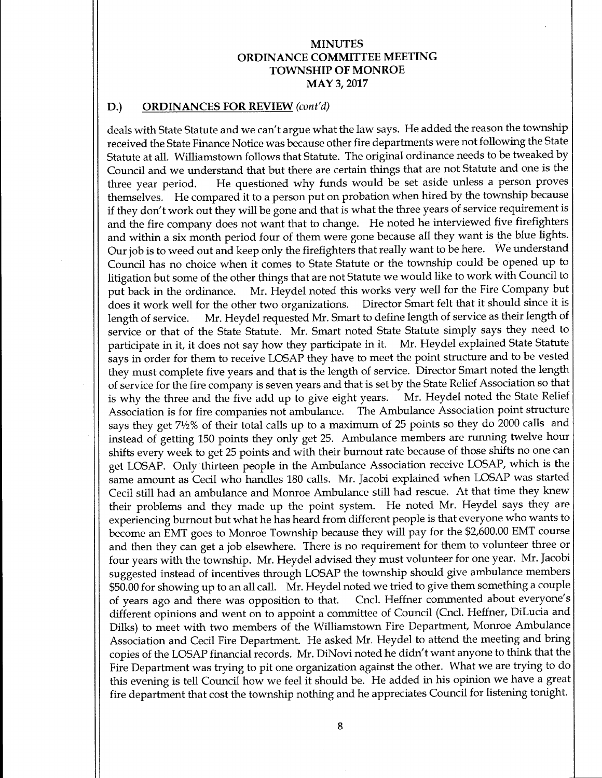### D.) ORDINANCES FOR REVIEW (cont'd)

deals with State Statute and we can't argue what the law says. He added the reason the township received the State Finance Notice was because other fire departments were not following the State Statute at all. Williamstown follows that Statute. The original ordinance needs to be tweaked by Council and we understand that but there are certain things that are not Statute and one is the three year period. He questioned why funds would be set aside unless <sup>a</sup> person proves themselves. He compared it to <sup>a</sup> person put on probation when hired by the township because if they don't work out they will be gone and that is what the three years of service requirement is and the fire company does not want that to change. He noted he interviewed five firefighters and within a six month period four of them were gone because all they want is the blue lights. Our job is to weed out and keep only the firefighters that really want to be here. We understand Council has no choice when it comes to State Statute or the township could be opened up to litigation but some of the other things that are not Statute we would like to work with Council to put back in the ordinance. Mr. Heydel noted this works very well for the Fire Company but does it work well for the other two organizations. Director Smart felt that it should since it is length of service. Mr. Heydel requested Mr. Smart to define length of service as their length of service or that of the State Statute. Mr. Smart noted State Statute simply says they need to participate in it, it does not say how they participate in it. Mr. Heydel explained State Statute says in order for them to receive LOSAP they have to meet the point structure and to be vested they must complete five years and that is the length of service. Director Smart noted the length of service for the fire company is seven years and that is set by the State Relief Association so that is why the three and the five add up to give eight years. Mr. Heydel noted the State Relief is why the three and the five add up to give eight years. Association is for fire companies not ambulance. The Ambulance Association point structure says they get 71/2% of their total calls up to <sup>a</sup> maximum of <sup>25</sup> points so they do <sup>2000</sup> calls and instead of getting <sup>150</sup> points they only get 25. Ambulance members are running twelve hour shifts every week to get 25 points and with their burnout rate because of those shifts no one can get LOSAP. Only thirteen people in the Ambulance Association receive LOSAP, which is the same amount as Cecil who handles 180 calls. Mr. Jacobi explained when LOSAP was started Cecil still had an ambulance and Monroe Ambulance still had rescue. At that time they knew their problems and they made up the point system. He noted Mr. Heydel says they are experiencing burnout but what he has heard from different people is that everyone who wants to become an EMT goes to Monroe Township because they will pay for the \$2,600.00 EMT course and then they can get a job elsewhere. There is no requirement for them to volunteer three or four years with the township. Mr. Heydel advised they must volunteer for one year. Mr. Jacobi suggested instead of incentives through LOSAP the township should give ambulance members \$50.00 for showing up to an all call. Mr. Heydel noted we tried to give them something a couple of years ago and there was opposition to that. Cncl. Heffner commented about everyone's Cncl. Heffner commented about everyone's different opinions and went on to appoint <sup>a</sup> committee of Council (Cncl. Heffner, DiLucia and Dilks) to meet with two members of the Williamstown Fire Department, Monroe Ambulance Association and Cecil Fire Department. He asked Mr. Heydel to attend the meeting and bring copies of the LOSAP financial records. Mr. DiNovi noted he didn't want anyone to think that the Fire Department was trying to pit one organization against the other. What we are trying to do this evening is tell Council how we feel it should be. He added in his opinion we have <sup>a</sup> great fire department that cost the township nothing and he appreciates Council for listening tonight.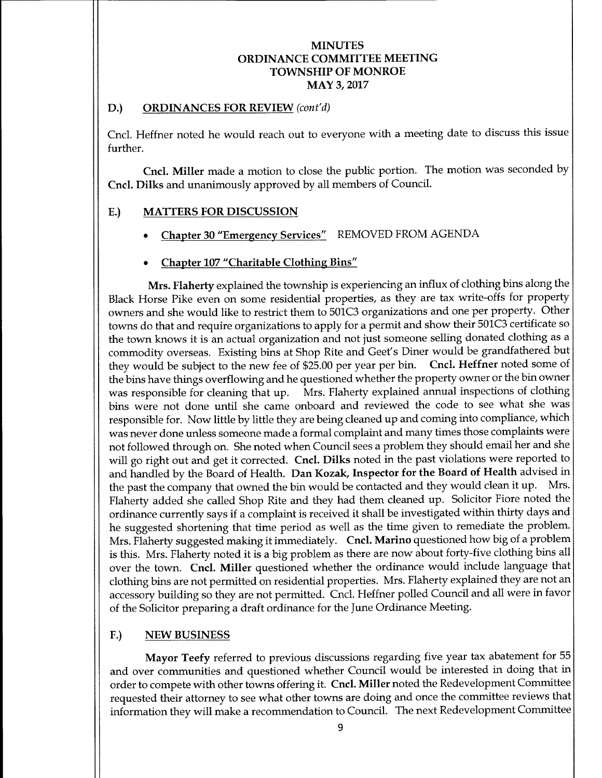### D.) ORDINANCES FOR REVIEW (cont'd)

Cncl. Heffner noted he would reach out to everyone with a meeting date to discuss this issue further.

Cncl. Miller made <sup>a</sup> motion to close the public portion. The motion was seconded by Cncl. Dilks and unanimously approved by all members of Council.

## E.) MATTERS FOR DISCUSSION

- Chapter 30 "Emergency Services" REMOVED FROM AGENDA
- Chapter 107 "Charitable Clothing Bins"

Mrs. Flaherty explained the township is experiencing an influx of clothing bins along the Black Horse Pike even on some residential properties, as they are tax write-offs for property owners and she would like to restrict them to 501C3 organizations and one per property. Other towns do that and require organizations to apply for a permit and show their 501C3 certificate so the town knows it is an actual organization and not just someone selling donated clothing as <sup>a</sup> commodity overseas. Existing bins at Shop Rite and Geet' <sup>s</sup> Diner would be grandfathered but they would be subject to the new fee of \$25.00 per year per bin. Cncl. Heffner noted some of the bins have things overflowing and he questioned whether the property owner or the bin owner was responsible for cleaning that up. Mrs. Flaherty explained annual inspections of clothing bins were not done until she came onboard and reviewed the code to see what she was responsible for. Now little by little they are being cleaned up and coming into compliance, which was never done unless someone made a formal complaint and many times those complaints were not followed through on. She noted when Council sees a problem they should email her and she will go right out and get it corrected. Cncl. Dilks noted in the past violations were reported to and handled by the Board of Health. Dan Kozak, Inspector for the Board of Health advised in the past the company that owned the bin would be contacted and they would clean it up. Mrs. Flaherty added she called Shop Rite and they had them cleaned up. Solicitor Fiore noted the ordinance currently says if <sup>a</sup> complaint is received it shall be investigated within thirty days and he suggested shortening that time period as well as the time given to remediate the problem. Mrs. Flaherty suggested making it immediately. Cncl. Marino questioned how big of <sup>a</sup> problem is this. Mrs. Flaherty noted it is <sup>a</sup> big problem as there are now about forty-five clothing bins all over the town. Cncl. Miller questioned whether the ordinance would include language that clothing bins are not permitted on residential properties. Mrs. Flaherty explained they are not an accessory building so they are not permitted. Cncl. Heffner polled Council and all were in favor of the Solicitor preparing a draft ordinance for the June Ordinance Meeting.

#### F.) NEW BUSINESS

Mayor Teefy referred to previous discussions regarding five year tax abatement for 55 and over communities and questioned whether Council would be interested in doing that in order to compete with other towns offering it. Cncl. Miller noted the Redevelopment Committee requested their attorney to see what other towns are doing and once the committee reviews that information they will make <sup>a</sup> recommendation to Council. The next Redevelopment Committee